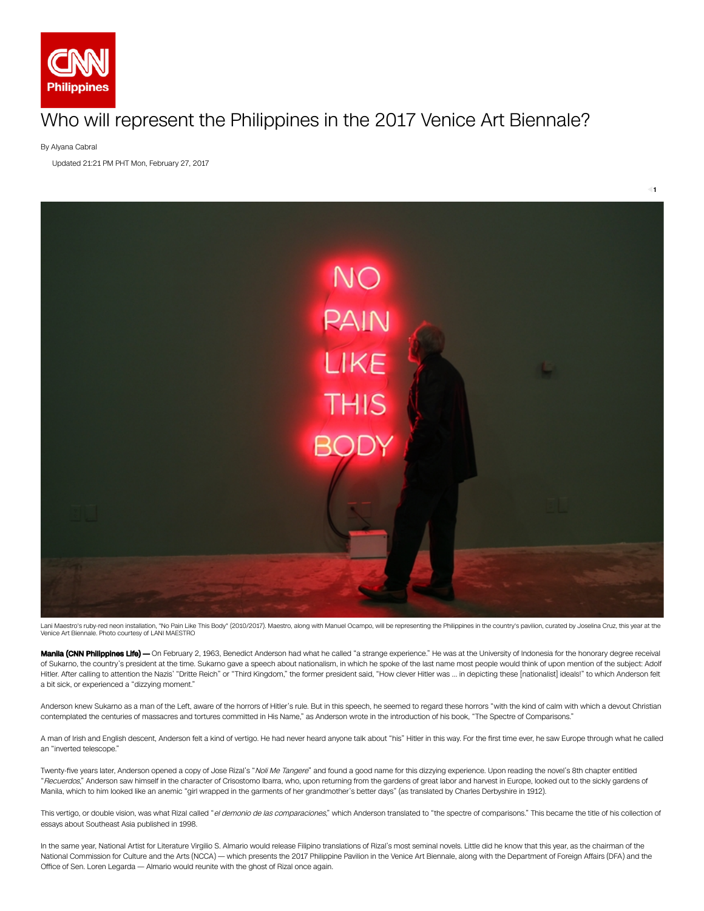

## Who will represent the Philippines in the 2017 Venice Art Biennale?

By Alyana Cabral

Updated 21:21 PM PHT Mon, February 27, 2017



Lani Maestro's ruby-red neon installation, "No Pain Like This Body" (2010/2017). Maestro, along with Manuel Ocampo, will be representing the Philippines in the country's pavilion, curated by Joselina Cruz, this year at the

Manila (CNN Philippines Life) - On February 2, 1963, Benedict Anderson had what he called "a strange experience." He was at the University of Indonesia for the honorary degree receival of Sukarno, the country's president at the time. Sukarno gave a speech about nationalism, in which he spoke of the last name most people would think of upon mention of the subject: Adolf Hitler. After calling to attention the Nazis' "Dritte Reich" or "Third Kingdom," the former president said, "How clever Hitler was … in depicting these [nationalist] ideals!" to which Anderson felt a bit sick, or experienced a "dizzying moment."

Anderson knew Sukarno as a man of the Left, aware of the horrors of Hitler's rule. But in this speech, he seemed to regard these horrors "with the kind of calm with which a devout Christian contemplated the centuries of massacres and tortures committed in His Name," as Anderson wrote in the introduction of his book, "The Spectre of Comparisons."

A man of Irish and English descent, Anderson felt a kind of vertigo. He had never heard anyone talk about "his" Hitler in this way. For the first time ever, he saw Europe through what he called an "inverted telescope."

Twenty-five years later, Anderson opened a copy of Jose Rizal's "Noli Me Tangere" and found a good name for this dizzying experience. Upon reading the novel's 8th chapter entitled "Recuerdos," Anderson saw himself in the character of Crisostomo Ibarra, who, upon returning from the gardens of great labor and harvest in Europe, looked out to the sickly gardens of Manila, which to him looked like an anemic "girl wrapped in the garments of her grandmother's better days" (as translated by Charles Derbyshire in 1912).

This vertigo, or double vision, was what Rizal called "el demonio de las comparaciones," which Anderson translated to "the spectre of comparisons." This became the title of his collection of essays about Southeast Asia published in 1998.

In the same year, National Artist for Literature Virgilio S. Almario would release Filipino translations of Rizal's most seminal novels. Little did he know that this year, as the chairman of the National Commission for Culture and the Arts (NCCA) — which presents the 2017 Philippine Pavilion in the Venice Art Biennale, along with the Department of Foreign Affairs (DFA) and the Office of Sen. Loren Legarda - Almario would reunite with the ghost of Rizal once again.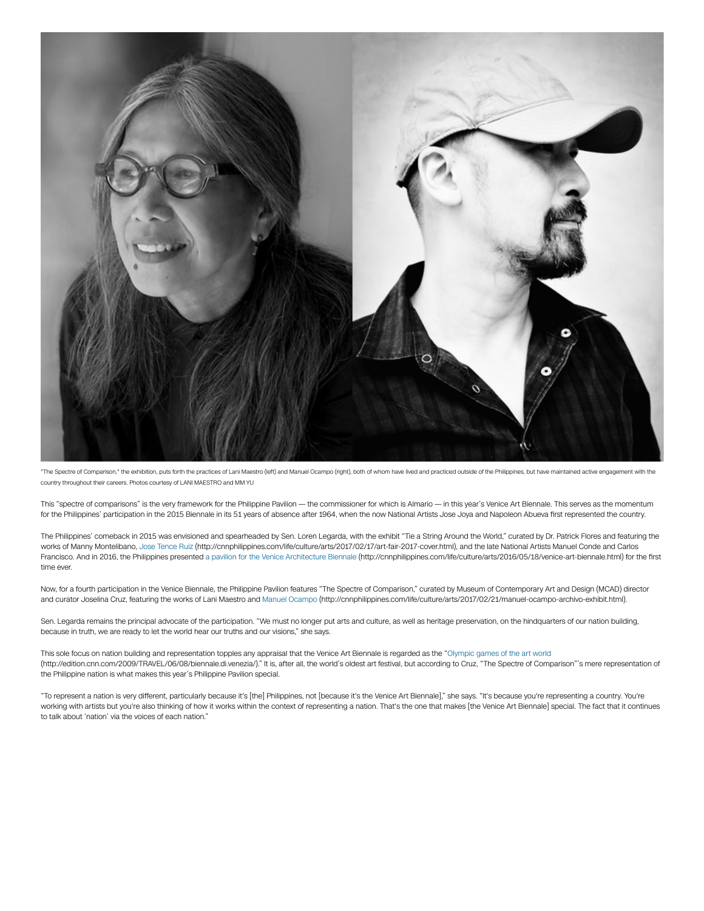

"The Spectre of Comparison," the exhibition, puts forth the practices of Lani Maestro (left) and Manuel Ocampo (right), both of whom have lived and practiced outside of the Philippines, but have maintained active engagemen country throughout their careers. Photos courtesy of LANI MAESTRO and MM YU

This "spectre of comparisons" is the very framework for the Philippine Pavilion — the commissioner for which is Almario — in this year's Venice Art Biennale. This serves as the momentum for the Philippines' participation in the 2015 Biennale in its 51 years of absence after 1964, when the now National Artists Jose Joya and Napoleon Abueva first represented the country.

The Philippines' comeback in 2015 was envisioned and spearheaded by Sen. Loren Legarda, with the exhibit "Tie a String Around the World," curated by Dr. Patrick Flores and featuring the works of Manny Montelibano, Jose Tence Ruiz (http://cnnphilippines.com/life/culture/arts/2017/02/17/art-fair-2017-cover.html), and the late National Artists Manuel Conde and Carlos Francisco. And in 2016, the Philippines presented a pavilion for the Venice Architecture Biennale (http://cnnphilippines.com/life/culture/arts/2016/05/18/venice-art-biennale.html) for the first time ever.

Now, for a fourth participation in the Venice Biennale, the Philippine Pavilion features "The Spectre of Comparison," curated by Museum of Contemporary Art and Design (MCAD) director and curator Joselina Cruz, featuring the works of Lani Maestro and Manuel Ocampo (http://cnnphilippines.com/life/culture/arts/2017/02/21/manuel-ocampo-archivo-exhibit.html).

Sen. Legarda remains the principal advocate of the participation. "We must no longer put arts and culture, as well as heritage preservation, on the hindquarters of our nation building, because in truth, we are ready to let the world hear our truths and our visions," she says.

This sole focus on nation building and representation topples any appraisal that the Venice Art Biennale is regarded as the "Olympic games of the art world (http://edition.cnn.com/2009/TRAVEL/06/08/biennale.di.venezia/)." It is, after all, the world's oldest art festival, but according to Cruz, "The Spectre of Comparison"'s mere representation of the Philippine nation is what makes this year's Philippine Pavilion special.

"To represent a nation is very dierent, particularly because it's [the] Philippines, not [because it's the Venice Art Biennale]," she says. "It's because you're representing a country. You're working with artists but you're also thinking of how it works within the context of representing a nation. That's the one that makes [the Venice Art Biennale] special. The fact that it continues to talk about 'nation' via the voices of each nation."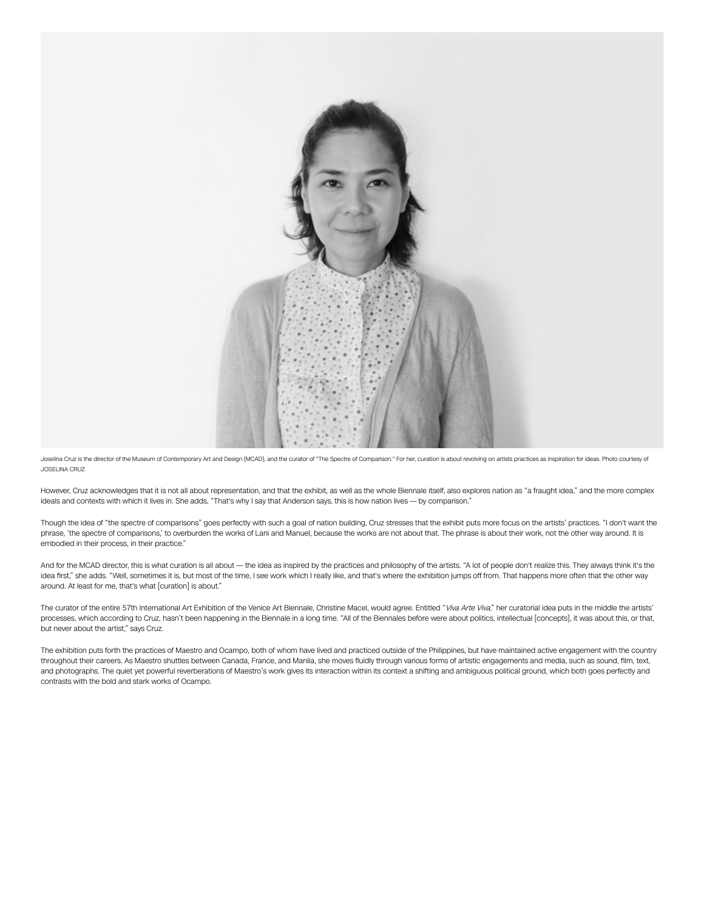

Joselina Cruz is the director of the Museum of Contemporary Art and Design (MCAD), and the curator of "The Spectre of Comparison." For her, curation is about revolving on artists practices as inspiration for ideas. Photo c JOSELINA CRUZ

However, Cruz acknowledges that it is not all about representation, and that the exhibit, as well as the whole Biennale itself, also explores nation as "a fraught idea," and the more complex ideals and contexts with which it lives in. She adds, "That's why I say that Anderson says, this is how nation lives — by comparison."

Though the idea of "the spectre of comparisons" goes perfectly with such a goal of nation building, Cruz stresses that the exhibit puts more focus on the artists' practices. "I don't want the phrase, 'the spectre of comparisons,' to overburden the works of Lani and Manuel, because the works are not about that. The phrase is about their work, not the other way around. It is embodied in their process, in their practice."

And for the MCAD director, this is what curation is all about — the idea as inspired by the practices and philosophy of the artists. "A lot of people don't realize this. They always think it's the idea first," she adds. "Well, sometimes it is, but most of the time, I see work which I really like, and that's where the exhibition jumps off from. That happens more often that the other way around. At least for me, that's what [curation] is about."

The curator of the entire 57th International Art Exhibition of the Venice Art Biennale, Christine Macel, would agree. Entitled "Viva Arte Viva," her curatorial idea puts in the middle the artists' processes, which according to Cruz, hasn't been happening in the Biennale in a long time. "All of the Biennales before were about politics, intellectual [concepts], it was about this, or that, but never about the artist," says Cruz.

The exhibition puts forth the practices of Maestro and Ocampo, both of whom have lived and practiced outside of the Philippines, but have maintained active engagement with the country throughout their careers. As Maestro shuttles between Canada, France, and Manila, she moves fluidly through various forms of artistic engagements and media, such as sound, film, text, and photographs. The quiet yet powerful reverberations of Maestro's work gives its interaction within its context a shifting and ambiguous political ground, which both goes perfectly and contrasts with the bold and stark works of Ocampo.